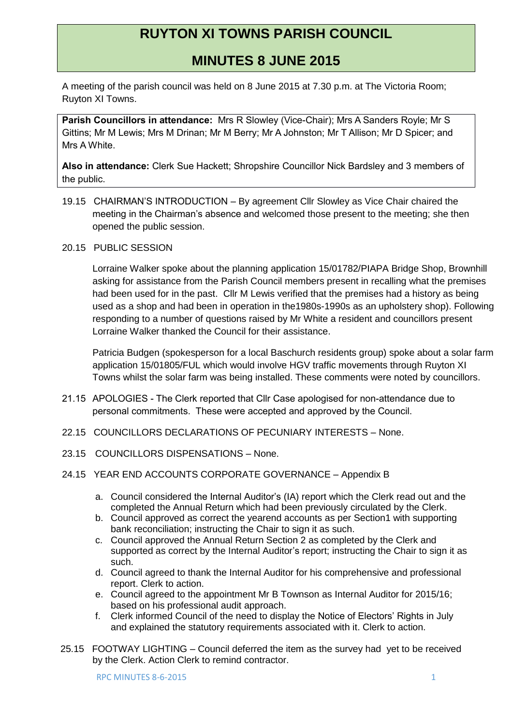# **RUYTON XI TOWNS PARISH COUNCIL**

## **MINUTES 8 JUNE 2015**

A meeting of the parish council was held on 8 June 2015 at 7.30 p.m. at The Victoria Room; Ruyton XI Towns.

**Parish Councillors in attendance:** Mrs R Slowley (Vice-Chair); Mrs A Sanders Royle; Mr S Gittins; Mr M Lewis; Mrs M Drinan; Mr M Berry; Mr A Johnston; Mr T Allison; Mr D Spicer; and Mrs A White.

**Also in attendance:** Clerk Sue Hackett; Shropshire Councillor Nick Bardsley and 3 members of the public.

- 19.15 CHAIRMAN'S INTRODUCTION By agreement Cllr Slowley as Vice Chair chaired the meeting in the Chairman's absence and welcomed those present to the meeting; she then opened the public session.
- 20.15 PUBLIC SESSION

Lorraine Walker spoke about the planning application 15/01782/PIAPA Bridge Shop, Brownhill asking for assistance from the Parish Council members present in recalling what the premises had been used for in the past. Cllr M Lewis verified that the premises had a history as being used as a shop and had been in operation in the1980s-1990s as an upholstery shop). Following responding to a number of questions raised by Mr White a resident and councillors present Lorraine Walker thanked the Council for their assistance.

Patricia Budgen (spokesperson for a local Baschurch residents group) spoke about a solar farm application 15/01805/FUL which would involve HGV traffic movements through Ruyton XI Towns whilst the solar farm was being installed. These comments were noted by councillors.

- 21.15 APOLOGIES The Clerk reported that Cllr Case apologised for non-attendance due to personal commitments. These were accepted and approved by the Council.
- 22.15 COUNCILLORS DECLARATIONS OF PECUNIARY INTERESTS None.
- 23.15 COUNCILLORS DISPENSATIONS None.
- 24.15 YEAR END ACCOUNTS CORPORATE GOVERNANCE Appendix B
	- a. Council considered the Internal Auditor's (IA) report which the Clerk read out and the completed the Annual Return which had been previously circulated by the Clerk.
	- b. Council approved as correct the yearend accounts as per Section1 with supporting bank reconciliation; instructing the Chair to sign it as such.
	- c. Council approved the Annual Return Section 2 as completed by the Clerk and supported as correct by the Internal Auditor's report; instructing the Chair to sign it as such.
	- d. Council agreed to thank the Internal Auditor for his comprehensive and professional report. Clerk to action.
	- e. Council agreed to the appointment Mr B Townson as Internal Auditor for 2015/16; based on his professional audit approach.
	- f. Clerk informed Council of the need to display the Notice of Electors' Rights in July and explained the statutory requirements associated with it. Clerk to action.
- 25.15 FOOTWAY LIGHTING Council deferred the item as the survey had yet to be received by the Clerk. Action Clerk to remind contractor.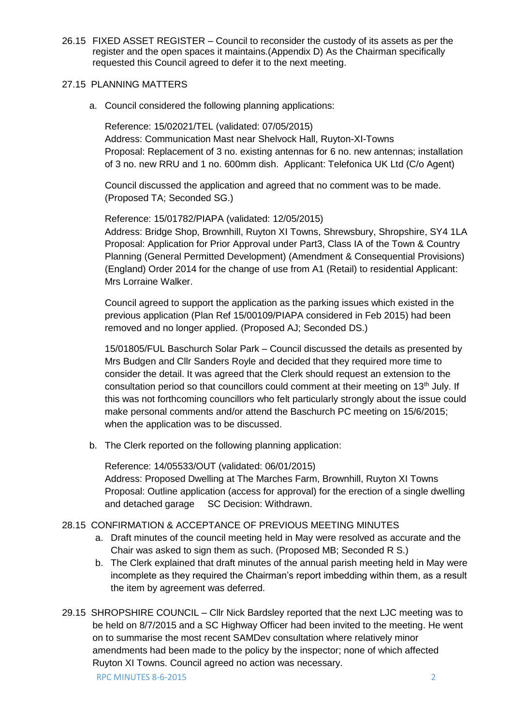26.15 FIXED ASSET REGISTER – Council to reconsider the custody of its assets as per the register and the open spaces it maintains.(Appendix D) As the Chairman specifically requested this Council agreed to defer it to the next meeting.

#### 27.15 PLANNING MATTERS

a. Council considered the following planning applications:

Reference: 15/02021/TEL (validated: 07/05/2015) Address: Communication Mast near Shelvock Hall, Ruyton-XI-Towns Proposal: Replacement of 3 no. existing antennas for 6 no. new antennas; installation of 3 no. new RRU and 1 no. 600mm dish. Applicant: Telefonica UK Ltd (C/o Agent)

Council discussed the application and agreed that no comment was to be made. (Proposed TA; Seconded SG.)

Reference: 15/01782/PIAPA (validated: 12/05/2015) Address: Bridge Shop, Brownhill, Ruyton XI Towns, Shrewsbury, Shropshire, SY4 1LA Proposal: Application for Prior Approval under Part3, Class IA of the Town & Country Planning (General Permitted Development) (Amendment & Consequential Provisions) (England) Order 2014 for the change of use from A1 (Retail) to residential Applicant: Mrs Lorraine Walker.

Council agreed to support the application as the parking issues which existed in the previous application (Plan Ref 15/00109/PIAPA considered in Feb 2015) had been removed and no longer applied. (Proposed AJ; Seconded DS.)

15/01805/FUL Baschurch Solar Park – Council discussed the details as presented by Mrs Budgen and Cllr Sanders Royle and decided that they required more time to consider the detail. It was agreed that the Clerk should request an extension to the consultation period so that councillors could comment at their meeting on 13<sup>th</sup> July. If this was not forthcoming councillors who felt particularly strongly about the issue could make personal comments and/or attend the Baschurch PC meeting on 15/6/2015; when the application was to be discussed.

b. The Clerk reported on the following planning application:

Reference: 14/05533/OUT (validated: 06/01/2015) Address: Proposed Dwelling at The Marches Farm, Brownhill, Ruyton XI Towns Proposal: Outline application (access for approval) for the erection of a single dwelling and detached garage SC Decision: Withdrawn.

### 28.15 CONFIRMATION & ACCEPTANCE OF PREVIOUS MEETING MINUTES

- a. Draft minutes of the council meeting held in May were resolved as accurate and the Chair was asked to sign them as such. (Proposed MB; Seconded R S.)
- b. The Clerk explained that draft minutes of the annual parish meeting held in May were incomplete as they required the Chairman's report imbedding within them, as a result the item by agreement was deferred.
- RPC MINUTES 8-6-2015 2 29.15 SHROPSHIRE COUNCIL – Cllr Nick Bardsley reported that the next LJC meeting was to be held on 8/7/2015 and a SC Highway Officer had been invited to the meeting. He went on to summarise the most recent SAMDev consultation where relatively minor amendments had been made to the policy by the inspector; none of which affected Ruyton XI Towns. Council agreed no action was necessary.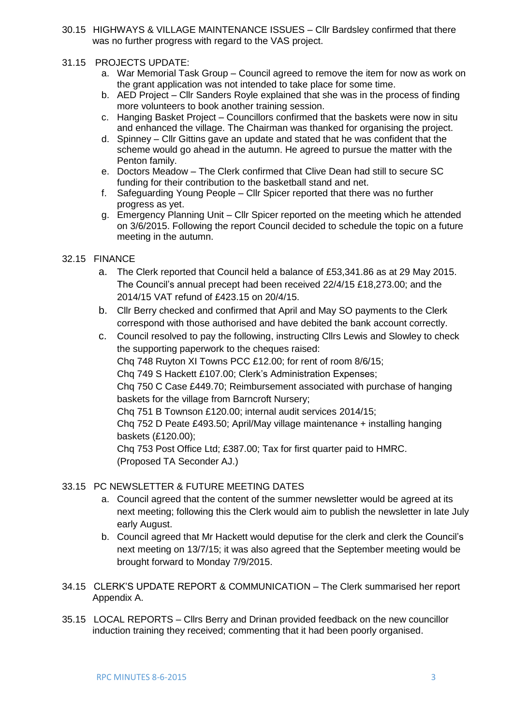30.15 HIGHWAYS & VILLAGE MAINTENANCE ISSUES – Cllr Bardsley confirmed that there was no further progress with regard to the VAS project.

#### 31.15 PROJECTS UPDATE:

- a. War Memorial Task Group Council agreed to remove the item for now as work on the grant application was not intended to take place for some time.
- b. AED Project Cllr Sanders Royle explained that she was in the process of finding more volunteers to book another training session.
- c. Hanging Basket Project Councillors confirmed that the baskets were now in situ and enhanced the village. The Chairman was thanked for organising the project.
- d. Spinney Cllr Gittins gave an update and stated that he was confident that the scheme would go ahead in the autumn. He agreed to pursue the matter with the Penton family.
- e. Doctors Meadow The Clerk confirmed that Clive Dean had still to secure SC funding for their contribution to the basketball stand and net.
- f. Safeguarding Young People Cllr Spicer reported that there was no further progress as yet.
- g. Emergency Planning Unit Cllr Spicer reported on the meeting which he attended on 3/6/2015. Following the report Council decided to schedule the topic on a future meeting in the autumn.

#### 32.15 FINANCE

- a. The Clerk reported that Council held a balance of £53,341.86 as at 29 May 2015. The Council's annual precept had been received 22/4/15 £18,273.00; and the 2014/15 VAT refund of £423.15 on 20/4/15.
- b. Cllr Berry checked and confirmed that April and May SO payments to the Clerk correspond with those authorised and have debited the bank account correctly.
- c. Council resolved to pay the following, instructing Cllrs Lewis and Slowley to check the supporting paperwork to the cheques raised:

Chq 748 Ruyton XI Towns PCC £12.00; for rent of room 8/6/15;

Chq 749 S Hackett £107.00; Clerk's Administration Expenses;

Chq 750 C Case £449.70; Reimbursement associated with purchase of hanging baskets for the village from Barncroft Nursery;

Chq 751 B Townson £120.00; internal audit services 2014/15;

Chq 752 D Peate £493.50; April/May village maintenance + installing hanging baskets (£120.00);

Chq 753 Post Office Ltd; £387.00; Tax for first quarter paid to HMRC. (Proposed TA Seconder AJ.)

#### 33.15 PC NEWSLETTER & FUTURE MEETING DATES

- a. Council agreed that the content of the summer newsletter would be agreed at its next meeting; following this the Clerk would aim to publish the newsletter in late July early August.
- b. Council agreed that Mr Hackett would deputise for the clerk and clerk the Council's next meeting on 13/7/15; it was also agreed that the September meeting would be brought forward to Monday 7/9/2015.
- 34.15 CLERK'S UPDATE REPORT & COMMUNICATION The Clerk summarised her report Appendix A.
- 35.15 LOCAL REPORTS Cllrs Berry and Drinan provided feedback on the new councillor induction training they received; commenting that it had been poorly organised.